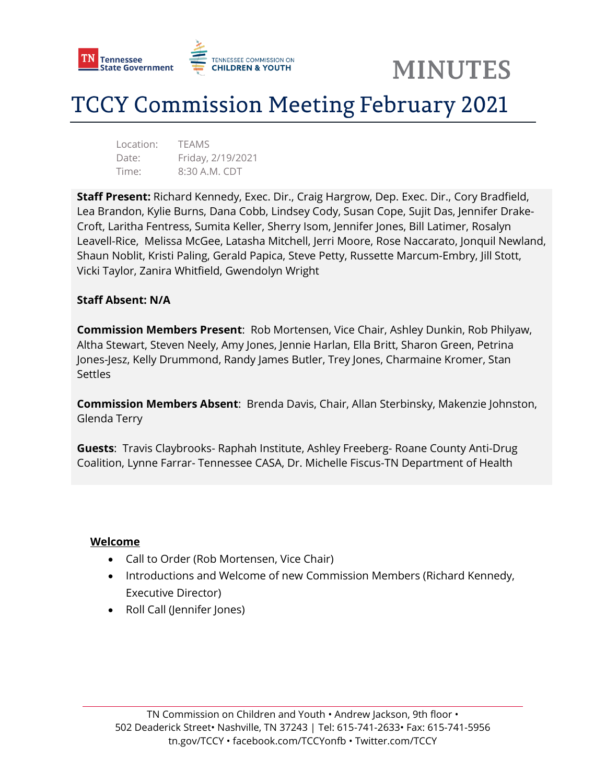

## **TCCY Commission Meeting February 2021**

Location: TEAMS Date: Friday, 2/19/2021 Time: 8:30 A.M. CDT

**Staff Present:** Richard Kennedy, Exec. Dir., Craig Hargrow, Dep. Exec. Dir., Cory Bradfield, Lea Brandon, Kylie Burns, Dana Cobb, Lindsey Cody, Susan Cope, Sujit Das, Jennifer Drake-Croft, Laritha Fentress, Sumita Keller, Sherry Isom, Jennifer Jones, Bill Latimer, Rosalyn Leavell-Rice, Melissa McGee, Latasha Mitchell, Jerri Moore, Rose Naccarato, Jonquil Newland, Shaun Noblit, Kristi Paling, Gerald Papica, Steve Petty, Russette Marcum-Embry, Jill Stott, Vicki Taylor, Zanira Whitfield, Gwendolyn Wright

#### **Staff Absent: N/A**

**Commission Members Present**: Rob Mortensen, Vice Chair, Ashley Dunkin, Rob Philyaw, Altha Stewart, Steven Neely, Amy Jones, Jennie Harlan, Ella Britt, Sharon Green, Petrina Jones-Jesz, Kelly Drummond, Randy James Butler, Trey Jones, Charmaine Kromer, Stan **Settles** 

**Commission Members Absent**: Brenda Davis, Chair, Allan Sterbinsky, Makenzie Johnston, Glenda Terry

**Guests**: Travis Claybrooks- Raphah Institute, Ashley Freeberg- Roane County Anti-Drug Coalition, Lynne Farrar- Tennessee CASA, Dr. Michelle Fiscus-TN Department of Health

#### **Welcome**

- Call to Order (Rob Mortensen, Vice Chair)
- Introductions and Welcome of new Commission Members (Richard Kennedy, Executive Director)
- Roll Call (Jennifer Jones)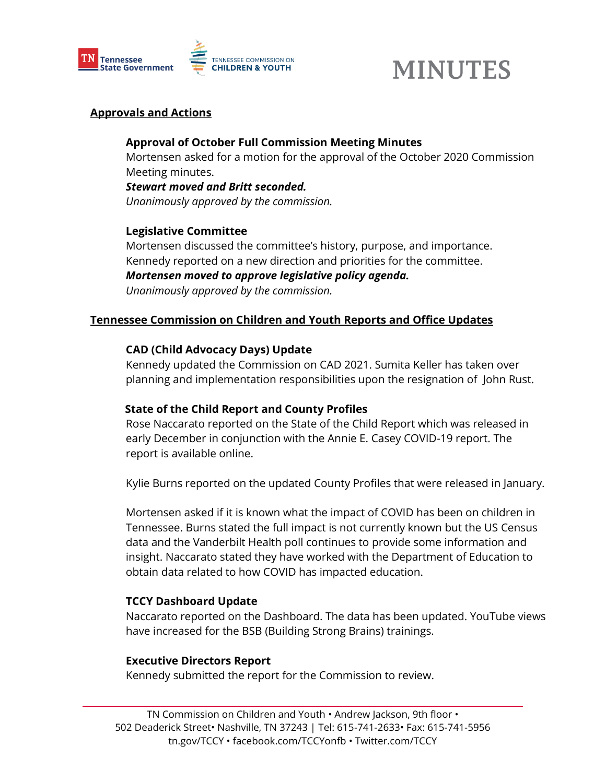

## **Approvals and Actions**

## **Approval of October Full Commission Meeting Minutes**

Mortensen asked for a motion for the approval of the October 2020 Commission Meeting minutes.

#### *Stewart moved and Britt seconded.*

*Unanimously approved by the commission.* 

## **Legislative Committee**

Mortensen discussed the committee's history, purpose, and importance. Kennedy reported on a new direction and priorities for the committee. *Mortensen moved to approve legislative policy agenda. Unanimously approved by the commission.* 

## **Tennessee Commission on Children and Youth Reports and Office Updates**

#### **CAD (Child Advocacy Days) Update**

Kennedy updated the Commission on CAD 2021. Sumita Keller has taken over planning and implementation responsibilities upon the resignation of John Rust.

## **State of the Child Report and County Profiles**

Rose Naccarato reported on the State of the Child Report which was released in early December in conjunction with the Annie E. Casey COVID-19 report. The report is available online.

Kylie Burns reported on the updated County Profiles that were released in January.

Mortensen asked if it is known what the impact of COVID has been on children in Tennessee. Burns stated the full impact is not currently known but the US Census data and the Vanderbilt Health poll continues to provide some information and insight. Naccarato stated they have worked with the Department of Education to obtain data related to how COVID has impacted education.

## **TCCY Dashboard Update**

Naccarato reported on the Dashboard. The data has been updated. YouTube views have increased for the BSB (Building Strong Brains) trainings.

#### **Executive Directors Report**

Kennedy submitted the report for the Commission to review.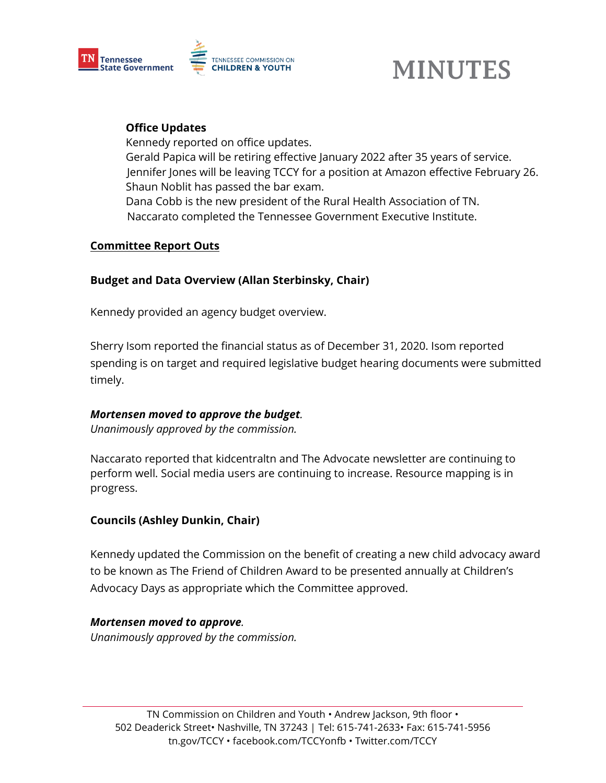

## **Office Updates**

Kennedy reported on office updates. Gerald Papica will be retiring effective January 2022 after 35 years of service. Jennifer Jones will be leaving TCCY for a position at Amazon effective February 26. Shaun Noblit has passed the bar exam. Dana Cobb is the new president of the Rural Health Association of TN. Naccarato completed the Tennessee Government Executive Institute.

## **Committee Report Outs**

## **Budget and Data Overview (Allan Sterbinsky, Chair)**

Kennedy provided an agency budget overview.

Sherry Isom reported the financial status as of December 31, 2020. Isom reported spending is on target and required legislative budget hearing documents were submitted timely.

## *Mortensen moved to approve the budget.*

*Unanimously approved by the commission.* 

Naccarato reported that kidcentraltn and The Advocate newsletter are continuing to perform well. Social media users are continuing to increase. Resource mapping is in progress.

## **Councils (Ashley Dunkin, Chair)**

Kennedy updated the Commission on the benefit of creating a new child advocacy award to be known as The Friend of Children Award to be presented annually at Children's Advocacy Days as appropriate which the Committee approved.

## *Mortensen moved to approve.*

*Unanimously approved by the commission.*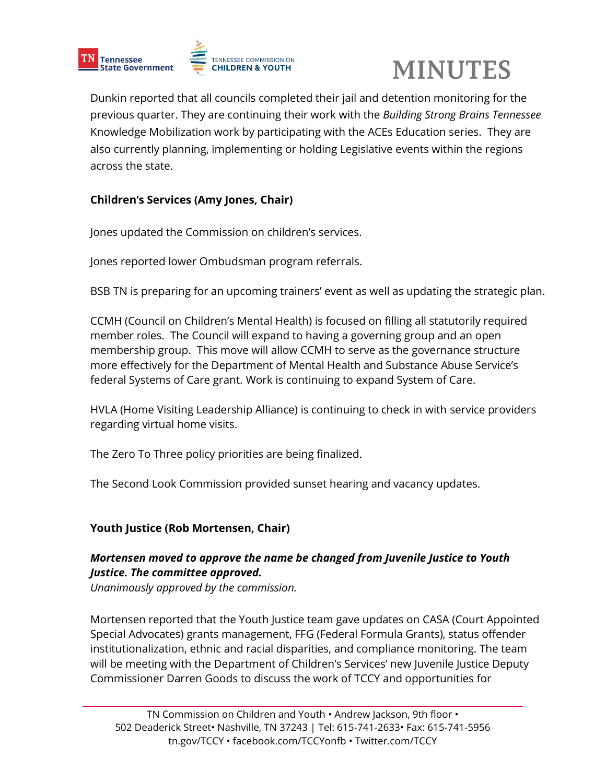



Dunkin reported that all councils completed their jail and detention monitoring for the previous quarter. They are continuing their work with the *Building Strong Brains Tennessee* Knowledge Mobilization work by participating with the ACEs Education series. They are also currently planning, implementing or holding Legislative events within the regions across the state.

## **Children's Services (Amy Jones, Chair)**

Jones updated the Commission on children's services.

Jones reported lower Ombudsman program referrals.

BSB TN is preparing for an upcoming trainers' event as well as updating the strategic plan.

CCMH (Council on Children's Mental Health) is focused on filling all statutorily required member roles. The Council will expand to having a governing group and an open membership group. This move will allow CCMH to serve as the governance structure more effectively for the Department of Mental Health and Substance Abuse Service's federal Systems of Care grant. Work is continuing to expand System of Care.

HVLA (Home Visiting Leadership Alliance) is continuing to check in with service providers regarding virtual home visits.

The Zero To Three policy priorities are being finalized.

The Second Look Commission provided sunset hearing and vacancy updates.

## **Youth Justice (Rob Mortensen, Chair)**

## *Mortensen moved to approve the name be changed from Juvenile Justice to Youth Justice. The committee approved.*

*Unanimously approved by the commission.* 

Mortensen reported that the Youth Justice team gave updates on CASA (Court Appointed Special Advocates) grants management, FFG (Federal Formula Grants), status offender institutionalization, ethnic and racial disparities, and compliance monitoring. The team will be meeting with the Department of Children's Services' new Juvenile Justice Deputy Commissioner Darren Goods to discuss the work of TCCY and opportunities for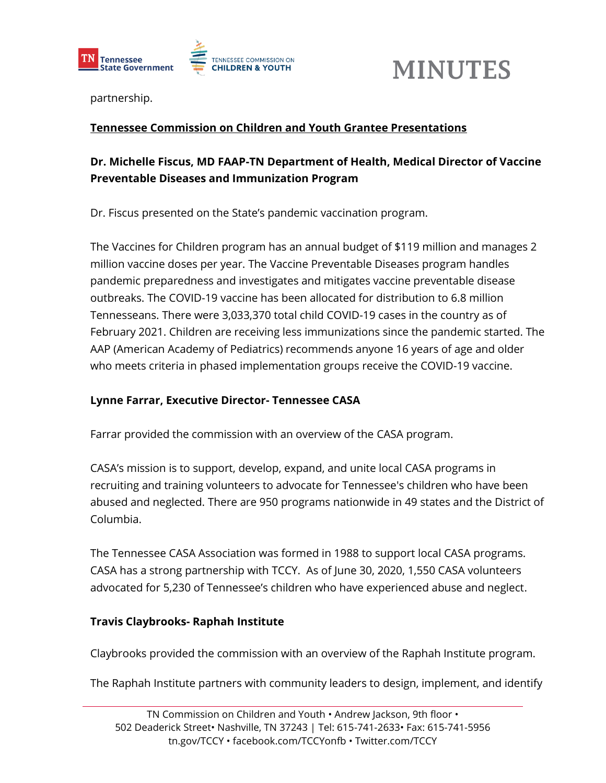



partnership.

## **Tennessee Commission on Children and Youth Grantee Presentations**

## **Dr. Michelle Fiscus, MD FAAP-TN Department of Health, Medical Director of Vaccine Preventable Diseases and Immunization Program**

Dr. Fiscus presented on the State's pandemic vaccination program.

The Vaccines for Children program has an annual budget of \$119 million and manages 2 million vaccine doses per year. The Vaccine Preventable Diseases program handles pandemic preparedness and investigates and mitigates vaccine preventable disease outbreaks. The COVID-19 vaccine has been allocated for distribution to 6.8 million Tennesseans. There were 3,033,370 total child COVID-19 cases in the country as of February 2021. Children are receiving less immunizations since the pandemic started. The AAP (American Academy of Pediatrics) recommends anyone 16 years of age and older who meets criteria in phased implementation groups receive the COVID-19 vaccine.

## **Lynne Farrar, Executive Director- Tennessee CASA**

Farrar provided the commission with an overview of the CASA program.

CASA's mission is to support, develop, expand, and unite local CASA programs in recruiting and training volunteers to advocate for Tennessee's children who have been abused and neglected. There are 950 programs nationwide in 49 states and the District of Columbia.

The Tennessee CASA Association was formed in 1988 to support local CASA programs. CASA has a strong partnership with TCCY. As of June 30, 2020, 1,550 CASA volunteers advocated for 5,230 of Tennessee's children who have experienced abuse and neglect.

## **Travis Claybrooks- Raphah Institute**

Claybrooks provided the commission with an overview of the Raphah Institute program.

The Raphah Institute partners with community leaders to design, implement, and identify